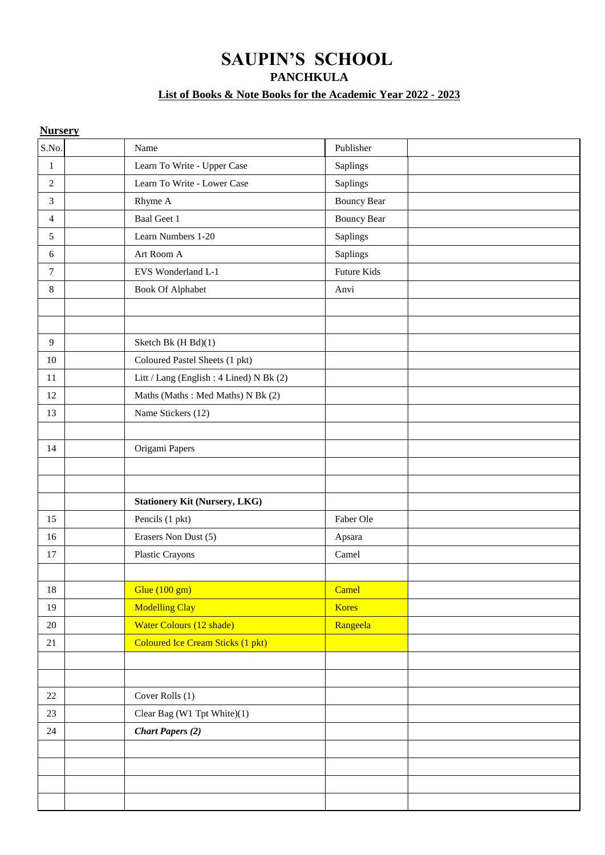# **SAUPIN'S SCHOOL**

**PANCHKULA**

### **List of Books & Note Books for the Academic Year 2022 - 2023**

| <b>Nursery</b> |                                          |                    |
|----------------|------------------------------------------|--------------------|
| S.No.          | Name                                     | Publisher          |
| $\mathbf{1}$   | Learn To Write - Upper Case              | Saplings           |
| $\overline{2}$ | Learn To Write - Lower Case              | Saplings           |
| $\overline{3}$ | Rhyme A                                  | <b>Bouncy Bear</b> |
| $\overline{4}$ | Baal Geet 1                              | <b>Bouncy Bear</b> |
| 5              | Learn Numbers 1-20                       | Saplings           |
| 6              | Art Room A                               | Saplings           |
| $\tau$         | EVS Wonderland L-1                       | Future Kids        |
| 8              | <b>Book Of Alphabet</b>                  | Anvi               |
| 9              | Sketch Bk (H Bd)(1)                      |                    |
| $10\,$         | Coloured Pastel Sheets (1 pkt)           |                    |
| 11             | Litt / Lang (English: 4 Lined) N Bk (2)  |                    |
| 12             | Maths (Maths: Med Maths) N Bk (2)        |                    |
| 13             | Name Stickers (12)                       |                    |
|                |                                          |                    |
| 14             | Origami Papers                           |                    |
|                |                                          |                    |
|                |                                          |                    |
|                | <b>Stationery Kit (Nursery, LKG)</b>     |                    |
| 15             | Pencils (1 pkt)                          | Faber Ole          |
| 16             | Erasers Non Dust (5)                     | Apsara             |
| 17             | Plastic Crayons                          | Camel              |
|                |                                          |                    |
| $18\,$         | Glue $(100 \text{ gm})$                  | Camel              |
| 19             | <b>Modelling Clay</b>                    | <b>Kores</b>       |
| $20\,$         | Water Colours (12 shade)                 | Rangeela           |
| 21             | <b>Coloured Ice Cream Sticks (1 pkt)</b> |                    |
|                |                                          |                    |
|                |                                          |                    |
| 22             | Cover Rolls (1)                          |                    |
| 23             | Clear Bag (W1 Tpt White)(1)              |                    |
| 24             | <b>Chart Papers (2)</b>                  |                    |
|                |                                          |                    |
|                |                                          |                    |
|                |                                          |                    |
|                |                                          |                    |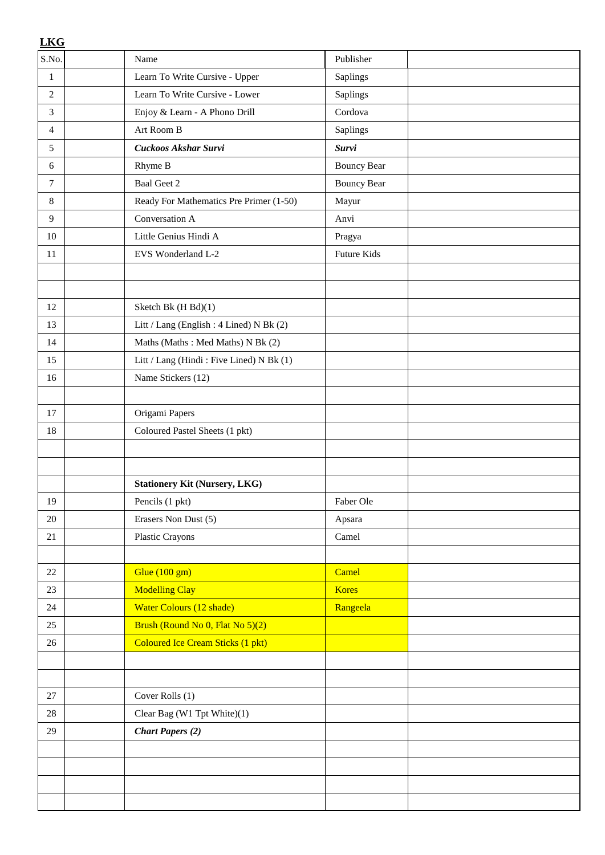| <b>LKG</b>     |                                          |                    |  |
|----------------|------------------------------------------|--------------------|--|
| S.No.          | Name                                     | Publisher          |  |
| 1              | Learn To Write Cursive - Upper           | Saplings           |  |
| $\overline{2}$ | Learn To Write Cursive - Lower           | Saplings           |  |
| 3              | Enjoy & Learn - A Phono Drill            | Cordova            |  |
| 4              | Art Room B                               | Saplings           |  |
| 5              | Cuckoos Akshar Survi                     | <b>Survi</b>       |  |
| 6              | Rhyme B                                  | <b>Bouncy Bear</b> |  |
| $\tau$         | <b>Baal Geet 2</b>                       | <b>Bouncy Bear</b> |  |
| 8              | Ready For Mathematics Pre Primer (1-50)  | Mayur              |  |
| 9              | Conversation A                           | Anvi               |  |
| 10             | Little Genius Hindi A                    | Pragya             |  |
| 11             | EVS Wonderland L-2                       | <b>Future Kids</b> |  |
|                |                                          |                    |  |
|                |                                          |                    |  |
| 12             | Sketch Bk (H Bd)(1)                      |                    |  |
| 13             | Litt / Lang (English: 4 Lined) N Bk (2)  |                    |  |
| 14             | Maths (Maths: Med Maths) N Bk (2)        |                    |  |
| 15             | Litt / Lang (Hindi: Five Lined) N Bk (1) |                    |  |
| 16             | Name Stickers (12)                       |                    |  |
|                |                                          |                    |  |
| 17             | Origami Papers                           |                    |  |
| 18             | Coloured Pastel Sheets (1 pkt)           |                    |  |
|                |                                          |                    |  |
|                |                                          |                    |  |
|                | <b>Stationery Kit (Nursery, LKG)</b>     |                    |  |
| 19             | Pencils (1 pkt)                          | Faber Ole          |  |
| 20             | Erasers Non Dust (5)                     | Apsara             |  |
| 21             | <b>Plastic Crayons</b>                   | Camel              |  |
|                |                                          |                    |  |
| 22             | Glue $(100 \text{ gm})$                  | Camel              |  |
| 23             | <b>Modelling Clay</b>                    | <b>Kores</b>       |  |
| 24             | Water Colours (12 shade)                 | Rangeela           |  |
| 25             | Brush (Round No 0, Flat No 5)(2)         |                    |  |
| 26             | <b>Coloured Ice Cream Sticks (1 pkt)</b> |                    |  |
|                |                                          |                    |  |
|                |                                          |                    |  |
| 27             | Cover Rolls (1)                          |                    |  |
| 28             | Clear Bag (W1 Tpt White)(1)              |                    |  |
| 29             | <b>Chart Papers (2)</b>                  |                    |  |
|                |                                          |                    |  |
|                |                                          |                    |  |
|                |                                          |                    |  |
|                |                                          |                    |  |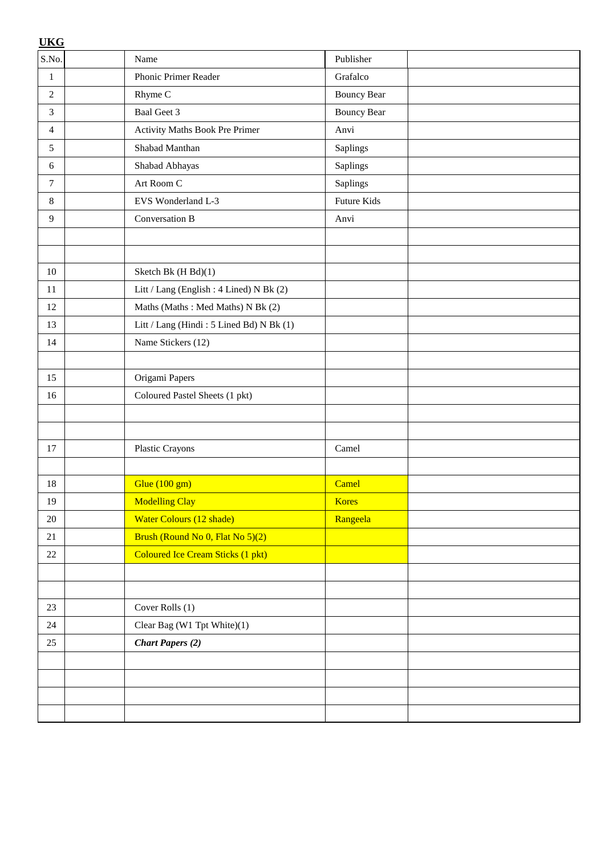| <b>UKG</b>     |                                          |                    |  |
|----------------|------------------------------------------|--------------------|--|
| S.No.          | Name                                     | Publisher          |  |
| $\mathbf{1}$   | Phonic Primer Reader                     | Grafalco           |  |
| $\overline{2}$ | Rhyme C                                  | <b>Bouncy Bear</b> |  |
| 3              | <b>Baal Geet 3</b>                       | <b>Bouncy Bear</b> |  |
| $\overline{4}$ | Activity Maths Book Pre Primer           | Anvi               |  |
| 5              | Shabad Manthan                           | Saplings           |  |
| 6              | Shabad Abhayas                           | Saplings           |  |
| $\overline{7}$ | Art Room C                               | <b>Saplings</b>    |  |
| $\,8\,$        | EVS Wonderland L-3                       | Future Kids        |  |
| 9              | Conversation B                           | Anvi               |  |
|                |                                          |                    |  |
|                |                                          |                    |  |
| 10             | Sketch Bk (H Bd)(1)                      |                    |  |
| 11             | Litt / Lang (English : 4 Lined) N Bk (2) |                    |  |
| 12             | Maths (Maths: Med Maths) N Bk (2)        |                    |  |
| 13             | Litt / Lang (Hindi: 5 Lined Bd) N Bk (1) |                    |  |
| 14             | Name Stickers (12)                       |                    |  |
|                |                                          |                    |  |
| 15             | Origami Papers                           |                    |  |
| 16             | Coloured Pastel Sheets (1 pkt)           |                    |  |
|                |                                          |                    |  |
|                |                                          |                    |  |
| 17             | Plastic Crayons                          | Camel              |  |
|                |                                          |                    |  |
| 18             | Glue (100 gm)                            | Camel              |  |
| 19             | <b>Modelling Clay</b>                    | <b>Kores</b>       |  |
| $20\,$         | Water Colours (12 shade)                 | Rangeela           |  |
| 21             | Brush (Round No 0, Flat No 5)(2)         |                    |  |
| $22\,$         | <b>Coloured Ice Cream Sticks (1 pkt)</b> |                    |  |
|                |                                          |                    |  |
|                |                                          |                    |  |
| 23             | Cover Rolls (1)                          |                    |  |
| 24             | Clear Bag (W1 Tpt White)(1)              |                    |  |
| 25             | <b>Chart Papers (2)</b>                  |                    |  |
|                |                                          |                    |  |
|                |                                          |                    |  |
|                |                                          |                    |  |
|                |                                          |                    |  |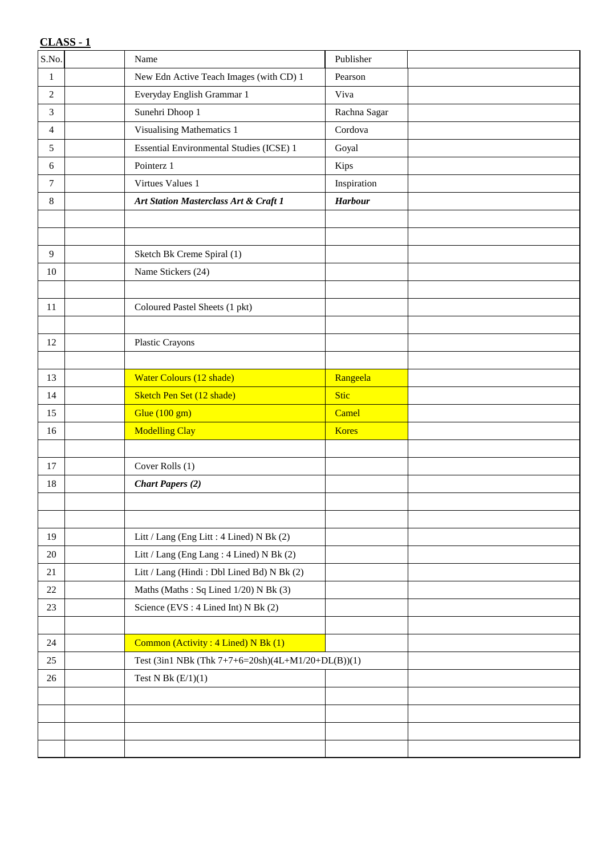| S.No.          | Name                                               | Publisher      |  |
|----------------|----------------------------------------------------|----------------|--|
| $\mathbf{1}$   | New Edn Active Teach Images (with CD) 1            | Pearson        |  |
| 2              | Everyday English Grammar 1                         | Viva           |  |
| 3              | Sunehri Dhoop 1                                    | Rachna Sagar   |  |
| $\overline{4}$ | <b>Visualising Mathematics 1</b>                   | Cordova        |  |
| 5              | Essential Environmental Studies (ICSE) 1           | Goyal          |  |
| 6              | Pointerz 1                                         | Kips           |  |
| $\tau$         | Virtues Values 1                                   | Inspiration    |  |
| 8              | Art Station Masterclass Art & Craft 1              | <b>Harbour</b> |  |
|                |                                                    |                |  |
|                |                                                    |                |  |
| 9              | Sketch Bk Creme Spiral (1)                         |                |  |
| 10             | Name Stickers (24)                                 |                |  |
|                |                                                    |                |  |
| 11             | Coloured Pastel Sheets (1 pkt)                     |                |  |
|                |                                                    |                |  |
| 12             | Plastic Crayons                                    |                |  |
|                |                                                    |                |  |
| 13             | <b>Water Colours (12 shade)</b>                    | Rangeela       |  |
| 14             | Sketch Pen Set (12 shade)                          | <b>Stic</b>    |  |
| 15             | Glue (100 gm)                                      | Camel          |  |
| 16             | <b>Modelling Clay</b>                              | <b>Kores</b>   |  |
|                |                                                    |                |  |
| 17             | Cover Rolls (1)                                    |                |  |
| $18\,$         | <b>Chart Papers (2)</b>                            |                |  |
|                |                                                    |                |  |
|                |                                                    |                |  |
| 19             | Litt / Lang (Eng Litt : 4 Lined) N Bk (2)          |                |  |
| $20\,$         | Litt / Lang (Eng Lang: 4 Lined) N Bk (2)           |                |  |
| 21             | Litt / Lang (Hindi: Dbl Lined Bd) N Bk (2)         |                |  |
| $22\,$         | Maths (Maths: Sq Lined 1/20) N Bk (3)              |                |  |
| 23             | Science (EVS: 4 Lined Int) N Bk (2)                |                |  |
|                |                                                    |                |  |
| 24             | Common (Activity: 4 Lined) N Bk (1)                |                |  |
| 25             | Test (3in1 NBk (Thk 7+7+6=20sh)(4L+M1/20+DL(B))(1) |                |  |
| 26             | Test N Bk $(E/1)(1)$                               |                |  |
|                |                                                    |                |  |
|                |                                                    |                |  |
|                |                                                    |                |  |
|                |                                                    |                |  |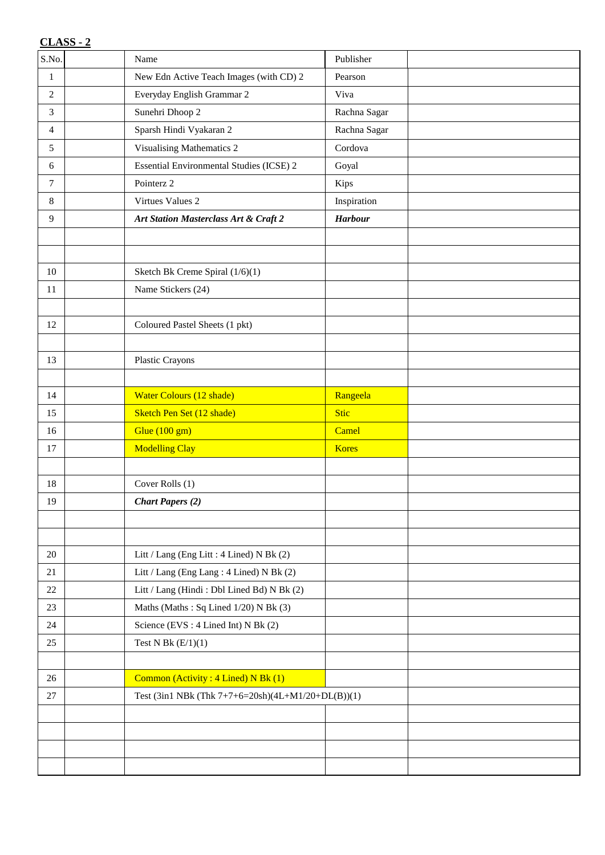| S.No.          | Name                                               | Publisher      |  |
|----------------|----------------------------------------------------|----------------|--|
| $\mathbf{1}$   | New Edn Active Teach Images (with CD) 2            | Pearson        |  |
| $\overline{2}$ | Everyday English Grammar 2                         | Viva           |  |
| 3              | Sunehri Dhoop 2                                    | Rachna Sagar   |  |
| $\overline{4}$ | Sparsh Hindi Vyakaran 2                            | Rachna Sagar   |  |
| 5              | Visualising Mathematics 2                          | Cordova        |  |
| 6              | Essential Environmental Studies (ICSE) 2           | Goyal          |  |
| $\tau$         | Pointerz 2                                         | Kips           |  |
| 8              | Virtues Values 2                                   | Inspiration    |  |
| 9              | Art Station Masterclass Art & Craft 2              | <b>Harbour</b> |  |
|                |                                                    |                |  |
|                |                                                    |                |  |
| 10             | Sketch Bk Creme Spiral (1/6)(1)                    |                |  |
| $11\,$         | Name Stickers (24)                                 |                |  |
|                |                                                    |                |  |
| 12             | Coloured Pastel Sheets (1 pkt)                     |                |  |
|                |                                                    |                |  |
| 13             | Plastic Crayons                                    |                |  |
|                |                                                    |                |  |
| 14             | <b>Water Colours (12 shade)</b>                    | Rangeela       |  |
| 15             | Sketch Pen Set (12 shade)                          | Stic           |  |
| 16             | Glue (100 gm)                                      | Camel          |  |
| 17             | <b>Modelling Clay</b>                              | <b>Kores</b>   |  |
|                |                                                    |                |  |
| $18\,$         | Cover Rolls (1)                                    |                |  |
| 19             | <b>Chart Papers (2)</b>                            |                |  |
|                |                                                    |                |  |
|                |                                                    |                |  |
| $20\,$         | Litt / Lang (Eng Litt : 4 Lined) N Bk (2)          |                |  |
| 21             | Litt / Lang (Eng Lang: 4 Lined) N Bk (2)           |                |  |
| $22\,$         | Litt / Lang (Hindi: Dbl Lined Bd) N Bk (2)         |                |  |
| 23             | Maths (Maths: Sq Lined 1/20) N Bk (3)              |                |  |
| 24             | Science (EVS: 4 Lined Int) N Bk (2)                |                |  |
| 25             | Test N Bk $(E/1)(1)$                               |                |  |
|                |                                                    |                |  |
| 26             | Common (Activity: 4 Lined) N Bk (1)                |                |  |
| 27             | Test (3in1 NBk (Thk 7+7+6=20sh)(4L+M1/20+DL(B))(1) |                |  |
|                |                                                    |                |  |
|                |                                                    |                |  |
|                |                                                    |                |  |
|                |                                                    |                |  |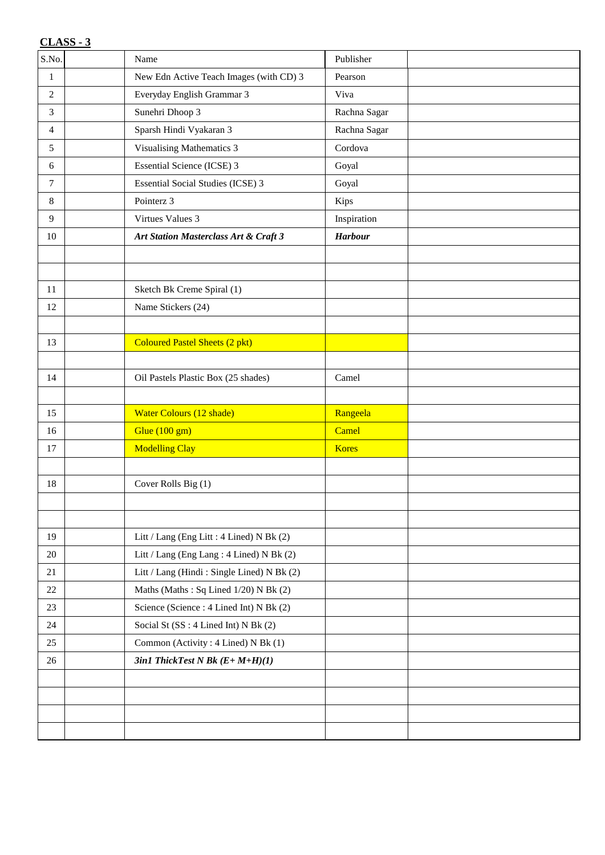| S.No.          | Name                                       | Publisher      |  |
|----------------|--------------------------------------------|----------------|--|
| $\mathbf{1}$   | New Edn Active Teach Images (with CD) 3    | Pearson        |  |
| $\overline{2}$ | Everyday English Grammar 3                 | Viva           |  |
| 3              | Sunehri Dhoop 3                            | Rachna Sagar   |  |
| 4              | Sparsh Hindi Vyakaran 3                    | Rachna Sagar   |  |
| 5              | Visualising Mathematics 3                  | Cordova        |  |
| 6              | <b>Essential Science (ICSE) 3</b>          | Goyal          |  |
| $\tau$         | <b>Essential Social Studies (ICSE) 3</b>   | Goyal          |  |
| 8              | Pointerz 3                                 | Kips           |  |
| 9              | Virtues Values 3                           | Inspiration    |  |
| 10             | Art Station Masterclass Art & Craft 3      | <b>Harbour</b> |  |
|                |                                            |                |  |
|                |                                            |                |  |
| 11             | Sketch Bk Creme Spiral (1)                 |                |  |
| 12             | Name Stickers (24)                         |                |  |
|                |                                            |                |  |
| 13             | <b>Coloured Pastel Sheets (2 pkt)</b>      |                |  |
|                |                                            |                |  |
| 14             | Oil Pastels Plastic Box (25 shades)        | Camel          |  |
|                |                                            |                |  |
|                |                                            |                |  |
| 15             | <b>Water Colours (12 shade)</b>            | Rangeela       |  |
| 16             | Glue $(100 \text{ gm})$                    | Camel          |  |
| 17             | <b>Modelling Clay</b>                      | <b>Kores</b>   |  |
|                |                                            |                |  |
| 18             | Cover Rolls Big (1)                        |                |  |
|                |                                            |                |  |
|                |                                            |                |  |
| 19             | Litt / Lang (Eng Litt : 4 Lined) N Bk (2)  |                |  |
| $20\,$         | Litt / Lang (Eng Lang: 4 Lined) N Bk (2)   |                |  |
| 21             | Litt / Lang (Hindi: Single Lined) N Bk (2) |                |  |
| $22\,$         | Maths (Maths: Sq Lined 1/20) N Bk (2)      |                |  |
| 23             | Science (Science: 4 Lined Int) N Bk (2)    |                |  |
| 24             | Social St (SS: 4 Lined Int) N Bk (2)       |                |  |
| 25             | Common (Activity: 4 Lined) N Bk (1)        |                |  |
| 26             | $3in1$ ThickTest N Bk $(E+M+H)(1)$         |                |  |
|                |                                            |                |  |
|                |                                            |                |  |
|                |                                            |                |  |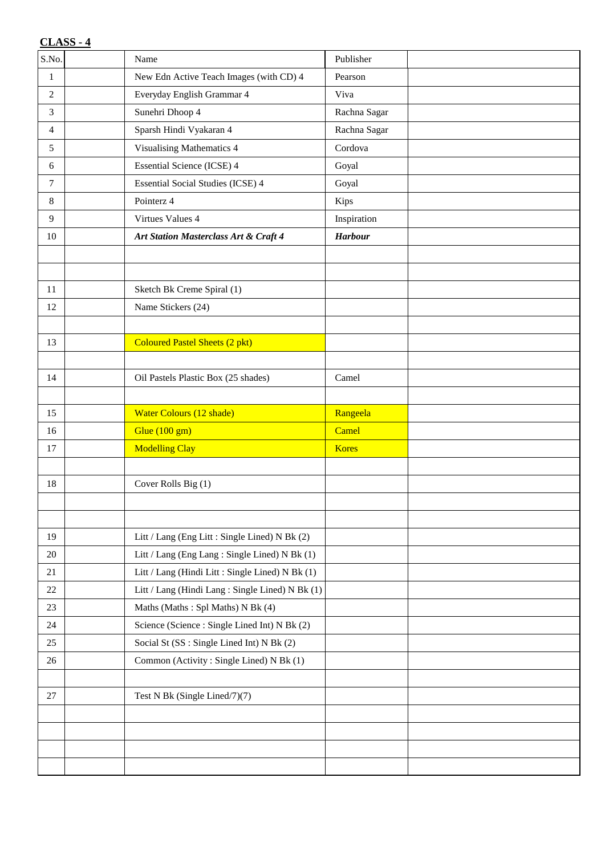| S.No.          | Name                                             | Publisher      |  |
|----------------|--------------------------------------------------|----------------|--|
| $\mathbf{1}$   | New Edn Active Teach Images (with CD) 4          | Pearson        |  |
| 2              | Everyday English Grammar 4                       | Viva           |  |
| 3              | Sunehri Dhoop 4                                  | Rachna Sagar   |  |
| $\overline{4}$ | Sparsh Hindi Vyakaran 4                          | Rachna Sagar   |  |
| 5              | Visualising Mathematics 4                        | Cordova        |  |
| 6              | <b>Essential Science (ICSE) 4</b>                | Goyal          |  |
| $\tau$         | <b>Essential Social Studies (ICSE) 4</b>         | Goyal          |  |
| 8              | Pointerz 4                                       | Kips           |  |
| 9              | Virtues Values 4                                 | Inspiration    |  |
| 10             | Art Station Masterclass Art & Craft 4            | <b>Harbour</b> |  |
|                |                                                  |                |  |
|                |                                                  |                |  |
| 11             | Sketch Bk Creme Spiral (1)                       |                |  |
| 12             | Name Stickers (24)                               |                |  |
|                |                                                  |                |  |
| 13             | <b>Coloured Pastel Sheets (2 pkt)</b>            |                |  |
|                |                                                  |                |  |
| 14             | Oil Pastels Plastic Box (25 shades)              | Camel          |  |
|                |                                                  |                |  |
| 15             | <b>Water Colours (12 shade)</b>                  | Rangeela       |  |
| 16             | Glue (100 gm)                                    | Camel          |  |
| 17             | <b>Modelling Clay</b>                            | <b>Kores</b>   |  |
|                |                                                  |                |  |
| 18             | Cover Rolls Big (1)                              |                |  |
|                |                                                  |                |  |
|                |                                                  |                |  |
| 19             | Litt / Lang (Eng Litt : Single Lined) N Bk (2)   |                |  |
| $20\,$         | Litt / Lang (Eng Lang: Single Lined) N Bk (1)    |                |  |
| 21             | Litt / Lang (Hindi Litt : Single Lined) N Bk (1) |                |  |
| $22\,$         | Litt / Lang (Hindi Lang: Single Lined) N Bk (1)  |                |  |
| 23             | Maths (Maths: Spl Maths) N Bk (4)                |                |  |
| 24             | Science (Science: Single Lined Int) N Bk (2)     |                |  |
| 25             | Social St (SS: Single Lined Int) N Bk (2)        |                |  |
| 26             | Common (Activity: Single Lined) N Bk (1)         |                |  |
|                |                                                  |                |  |
| 27             | Test N Bk (Single Lined/7)(7)                    |                |  |
|                |                                                  |                |  |
|                |                                                  |                |  |
|                |                                                  |                |  |
|                |                                                  |                |  |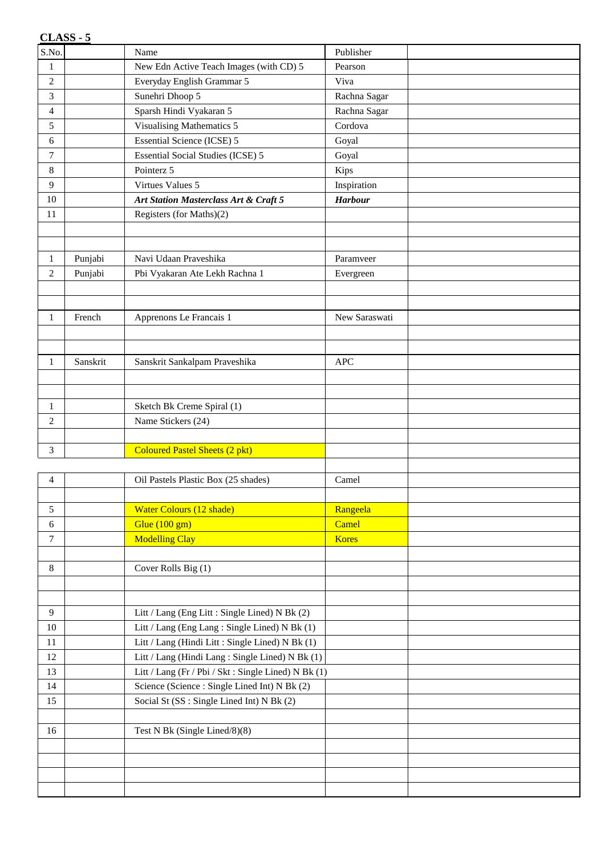|                | $CLASS - 5$ |                                                      |                |  |
|----------------|-------------|------------------------------------------------------|----------------|--|
| S.No.          |             | Name                                                 | Publisher      |  |
| $\mathbf{1}$   |             | New Edn Active Teach Images (with CD) 5              | Pearson        |  |
| $\overline{2}$ |             | Everyday English Grammar 5                           | Viva           |  |
| 3              |             | Sunehri Dhoop 5                                      | Rachna Sagar   |  |
| $\overline{4}$ |             | Sparsh Hindi Vyakaran 5                              | Rachna Sagar   |  |
| 5              |             | <b>Visualising Mathematics 5</b>                     | Cordova        |  |
| 6              |             | <b>Essential Science (ICSE) 5</b>                    | Goyal          |  |
| $\tau$         |             | <b>Essential Social Studies (ICSE) 5</b>             | Goyal          |  |
| 8              |             | Pointerz 5                                           | Kips           |  |
| 9              |             | Virtues Values 5                                     | Inspiration    |  |
| 10             |             | Art Station Masterclass Art & Craft 5                | <b>Harbour</b> |  |
| 11             |             | Registers (for Maths)(2)                             |                |  |
|                |             |                                                      |                |  |
|                |             |                                                      |                |  |
| $\mathbf{1}$   | Punjabi     | Navi Udaan Praveshika                                | Paramveer      |  |
| $\overline{c}$ | Punjabi     | Pbi Vyakaran Ate Lekh Rachna 1                       | Evergreen      |  |
|                |             |                                                      |                |  |
|                |             |                                                      |                |  |
| 1              | French      | Apprenons Le Francais 1                              | New Saraswati  |  |
|                |             |                                                      |                |  |
|                |             |                                                      |                |  |
| 1              | Sanskrit    | Sanskrit Sankalpam Praveshika                        | <b>APC</b>     |  |
|                |             |                                                      |                |  |
|                |             |                                                      |                |  |
| $\mathbf{1}$   |             | Sketch Bk Creme Spiral (1)                           |                |  |
| 2              |             | Name Stickers (24)                                   |                |  |
|                |             |                                                      |                |  |
| 3              |             | <b>Coloured Pastel Sheets (2 pkt)</b>                |                |  |
|                |             |                                                      |                |  |
| 4              |             | Oil Pastels Plastic Box (25 shades)                  | Camel          |  |
|                |             |                                                      |                |  |
| 5              |             | Water Colours (12 shade)                             | Rangeela       |  |
| 6              |             | Glue $(100 \text{ gm})$                              | Camel          |  |
| $\tau$         |             | <b>Modelling Clay</b>                                | <b>Kores</b>   |  |
|                |             |                                                      |                |  |
| $\,8\,$        |             | Cover Rolls Big (1)                                  |                |  |
|                |             |                                                      |                |  |
|                |             |                                                      |                |  |
| 9              |             | Litt / Lang (Eng Litt : Single Lined) N Bk (2)       |                |  |
| $10\,$         |             | Litt / Lang (Eng Lang: Single Lined) N Bk (1)        |                |  |
| $11\,$         |             | Litt / Lang (Hindi Litt : Single Lined) N Bk (1)     |                |  |
| $12\,$         |             | Litt / Lang (Hindi Lang: Single Lined) N Bk (1)      |                |  |
| 13             |             | Litt / Lang (Fr / Pbi / Skt : Single Lined) N Bk (1) |                |  |
| 14             |             | Science (Science: Single Lined Int) N Bk (2)         |                |  |
| 15             |             | Social St (SS: Single Lined Int) N Bk (2)            |                |  |
|                |             |                                                      |                |  |
| 16             |             | Test N Bk (Single Lined/8)(8)                        |                |  |
|                |             |                                                      |                |  |
|                |             |                                                      |                |  |
|                |             |                                                      |                |  |
|                |             |                                                      |                |  |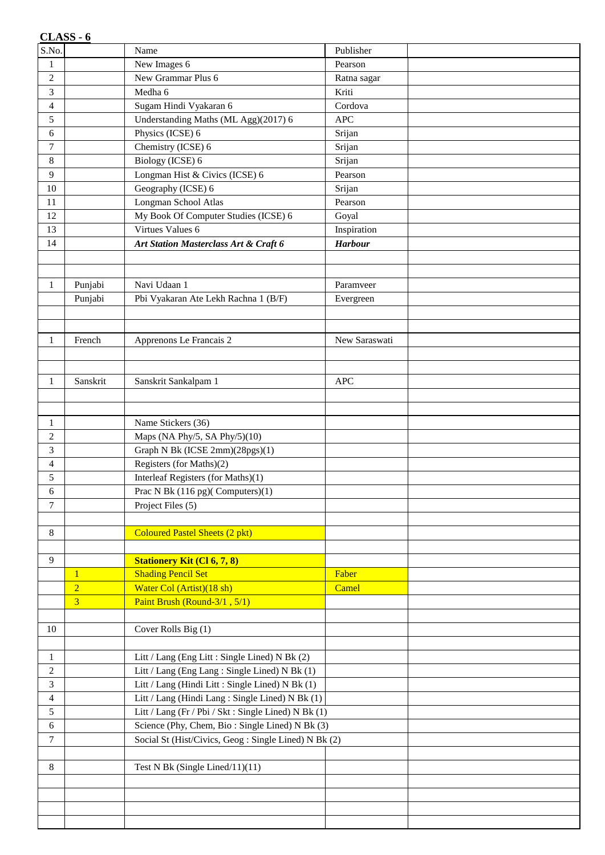|                         | CLASS - 6      |                                                      |                |  |
|-------------------------|----------------|------------------------------------------------------|----------------|--|
| S.No.                   |                | Name                                                 | Publisher      |  |
| $\mathbf{1}$            |                | New Images 6                                         | Pearson        |  |
| $\overline{c}$          |                | New Grammar Plus 6                                   | Ratna sagar    |  |
| 3                       |                | Medha 6                                              | Kriti          |  |
| $\overline{4}$          |                | Sugam Hindi Vyakaran 6                               | Cordova        |  |
| 5                       |                | Understanding Maths (ML Agg)(2017) 6                 | <b>APC</b>     |  |
| 6                       |                | Physics (ICSE) 6                                     | Srijan         |  |
| 7                       |                | Chemistry (ICSE) 6                                   | Srijan         |  |
| 8                       |                | Biology (ICSE) 6                                     | Srijan         |  |
| 9                       |                | Longman Hist & Civics (ICSE) 6                       | Pearson        |  |
| 10                      |                | Geography (ICSE) 6                                   | Srijan         |  |
| 11                      |                | Longman School Atlas                                 | Pearson        |  |
| 12                      |                | My Book Of Computer Studies (ICSE) 6                 | Goyal          |  |
| 13                      |                | Virtues Values 6                                     | Inspiration    |  |
| 14                      |                | Art Station Masterclass Art & Craft 6                | <b>Harbour</b> |  |
|                         |                |                                                      |                |  |
|                         |                |                                                      |                |  |
| $\mathbf{1}$            | Punjabi        | Navi Udaan 1                                         | Paramveer      |  |
|                         | Punjabi        | Pbi Vyakaran Ate Lekh Rachna 1 (B/F)                 | Evergreen      |  |
|                         |                |                                                      |                |  |
|                         |                |                                                      |                |  |
| $\mathbf{1}$            | French         | Apprenons Le Francais 2                              | New Saraswati  |  |
|                         |                |                                                      |                |  |
|                         | Sanskrit       |                                                      | APC            |  |
| 1                       |                | Sanskrit Sankalpam 1                                 |                |  |
|                         |                |                                                      |                |  |
| $\mathbf{1}$            |                | Name Stickers (36)                                   |                |  |
| $\overline{2}$          |                | Maps (NA Phy/5, SA Phy/5)(10)                        |                |  |
| 3                       |                | Graph N Bk (ICSE 2mm)(28pgs)(1)                      |                |  |
| $\overline{\mathbf{4}}$ |                | Registers (for Maths)(2)                             |                |  |
| 5                       |                | Interleaf Registers (for Maths)(1)                   |                |  |
| 6                       |                | Prac N Bk (116 pg)(Computers)(1)                     |                |  |
| 7                       |                | Project Files (5)                                    |                |  |
|                         |                |                                                      |                |  |
| 8                       |                | <b>Coloured Pastel Sheets (2 pkt)</b>                |                |  |
|                         |                |                                                      |                |  |
| 9                       |                | <b>Stationery Kit (Cl 6, 7, 8)</b>                   |                |  |
|                         | $\mathbf{1}$   | <b>Shading Pencil Set</b>                            | Faber          |  |
|                         | $\overline{2}$ | Water Col (Artist)(18 sh)                            | Camel          |  |
|                         | $\overline{3}$ | Paint Brush (Round-3/1, 5/1)                         |                |  |
|                         |                |                                                      |                |  |
| 10                      |                | Cover Rolls Big (1)                                  |                |  |
|                         |                |                                                      |                |  |
| $\mathbf{1}$            |                | Litt / Lang (Eng Litt : Single Lined) N Bk (2)       |                |  |
| $\overline{c}$          |                | Litt / Lang (Eng Lang: Single Lined) N Bk (1)        |                |  |
| 3                       |                | Litt / Lang (Hindi Litt : Single Lined) N Bk (1)     |                |  |
| $\overline{\mathbf{4}}$ |                | Litt / Lang (Hindi Lang: Single Lined) N Bk (1)      |                |  |
| 5                       |                | Litt / Lang (Fr / Pbi / Skt : Single Lined) N Bk (1) |                |  |
| 6                       |                | Science (Phy, Chem, Bio: Single Lined) N Bk (3)      |                |  |
| $\tau$                  |                | Social St (Hist/Civics, Geog: Single Lined) N Bk (2) |                |  |
|                         |                |                                                      |                |  |
| 8                       |                | Test N Bk (Single Lined/11)(11)                      |                |  |
|                         |                |                                                      |                |  |
|                         |                |                                                      |                |  |
|                         |                |                                                      |                |  |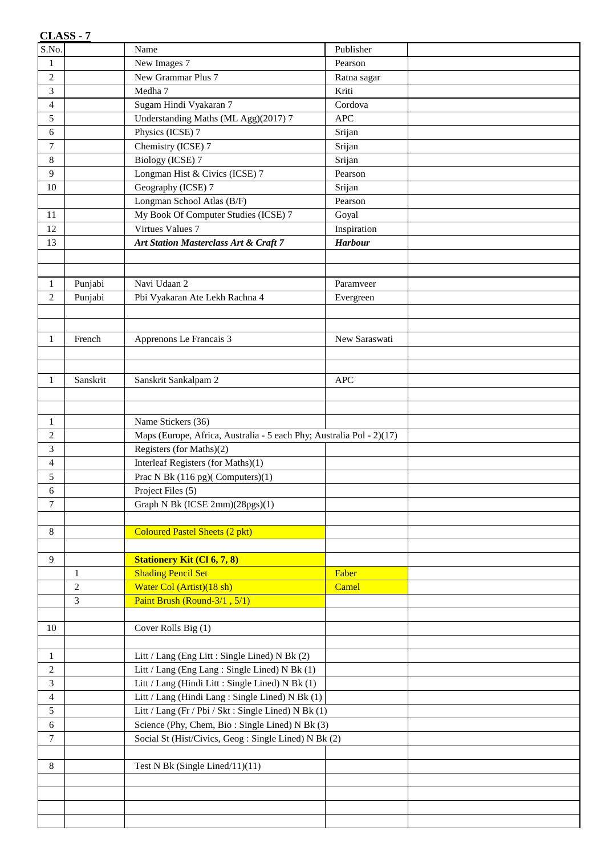|                          | <b>CLASS - 7</b> |                                                                      |                |  |
|--------------------------|------------------|----------------------------------------------------------------------|----------------|--|
| S.No.                    |                  | Name                                                                 | Publisher      |  |
| $\mathbf{1}$             |                  | New Images 7                                                         | Pearson        |  |
| $\overline{c}$           |                  | New Grammar Plus 7                                                   | Ratna sagar    |  |
| 3                        |                  | Medha 7                                                              | Kriti          |  |
| $\overline{\mathcal{A}}$ |                  | Sugam Hindi Vyakaran 7                                               | Cordova        |  |
| 5                        |                  | Understanding Maths (ML Agg)(2017) 7                                 | <b>APC</b>     |  |
| 6                        |                  | Physics (ICSE) 7                                                     | Srijan         |  |
| 7                        |                  | Chemistry (ICSE) 7                                                   | Srijan         |  |
| 8                        |                  | <b>Biology (ICSE) 7</b>                                              | Srijan         |  |
| 9                        |                  | Longman Hist & Civics (ICSE) 7                                       | Pearson        |  |
| 10                       |                  | Geography (ICSE) 7                                                   | Srijan         |  |
|                          |                  | Longman School Atlas (B/F)                                           | Pearson        |  |
| 11                       |                  | My Book Of Computer Studies (ICSE) 7                                 | Goyal          |  |
| 12                       |                  | Virtues Values 7                                                     | Inspiration    |  |
| 13                       |                  | Art Station Masterclass Art & Craft 7                                | <b>Harbour</b> |  |
|                          |                  |                                                                      |                |  |
|                          |                  |                                                                      |                |  |
| $\mathbf{1}$             | Punjabi          | Navi Udaan 2                                                         | Paramveer      |  |
| $\overline{c}$           | Punjabi          | Pbi Vyakaran Ate Lekh Rachna 4                                       | Evergreen      |  |
|                          |                  |                                                                      |                |  |
|                          |                  |                                                                      |                |  |
| $\mathbf{1}$             | French           | Apprenons Le Francais 3                                              | New Saraswati  |  |
|                          |                  |                                                                      |                |  |
|                          |                  |                                                                      |                |  |
| 1                        | Sanskrit         | Sanskrit Sankalpam 2                                                 | <b>APC</b>     |  |
|                          |                  |                                                                      |                |  |
|                          |                  |                                                                      |                |  |
| $\mathbf{1}$             |                  | Name Stickers (36)                                                   |                |  |
| $\overline{c}$           |                  | Maps (Europe, Africa, Australia - 5 each Phy; Australia Pol - 2)(17) |                |  |
| 3                        |                  | Registers (for Maths)(2)                                             |                |  |
| $\overline{4}$           |                  | Interleaf Registers (for Maths)(1)                                   |                |  |
| 5                        |                  | Prac N Bk $(116 \text{ pg})$ (Computers) $(1)$                       |                |  |
| 6                        |                  | Project Files (5)                                                    |                |  |
| 7                        |                  | Graph N Bk (ICSE 2mm)(28pgs)(1)                                      |                |  |
|                          |                  |                                                                      |                |  |
| 8                        |                  | <b>Coloured Pastel Sheets (2 pkt)</b>                                |                |  |
|                          |                  |                                                                      |                |  |
| 9                        |                  | <b>Stationery Kit (Cl 6, 7, 8)</b>                                   |                |  |
|                          | 1                | <b>Shading Pencil Set</b>                                            | Faber          |  |
|                          | $\overline{c}$   | Water Col (Artist)(18 sh)                                            | Camel          |  |
|                          | 3                | Paint Brush (Round-3/1, 5/1)                                         |                |  |
|                          |                  |                                                                      |                |  |
| 10                       |                  | Cover Rolls Big (1)                                                  |                |  |
|                          |                  |                                                                      |                |  |
| $\mathbf{1}$             |                  | Litt / Lang (Eng Litt : Single Lined) N Bk (2)                       |                |  |
| $\overline{c}$           |                  | Litt / Lang (Eng Lang: Single Lined) N Bk (1)                        |                |  |
| 3                        |                  | Litt / Lang (Hindi Litt : Single Lined) N Bk (1)                     |                |  |
| 4                        |                  | Litt / Lang (Hindi Lang: Single Lined) N Bk (1)                      |                |  |
| 5                        |                  | Litt / Lang (Fr / Pbi / Skt : Single Lined) N Bk (1)                 |                |  |
| 6                        |                  | Science (Phy, Chem, Bio: Single Lined) N Bk (3)                      |                |  |
| $\tau$                   |                  | Social St (Hist/Civics, Geog: Single Lined) N Bk (2)                 |                |  |
|                          |                  |                                                                      |                |  |
| $8\,$                    |                  | Test N Bk (Single Lined/11)(11)                                      |                |  |
|                          |                  |                                                                      |                |  |
|                          |                  |                                                                      |                |  |
|                          |                  |                                                                      |                |  |
|                          |                  |                                                                      |                |  |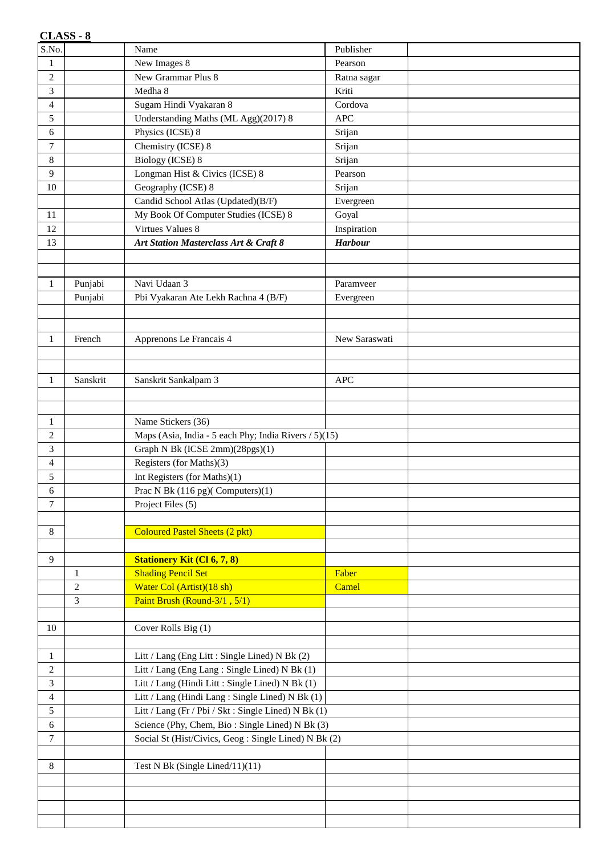|                                | CLASS - 8      |                                                                             |                |  |
|--------------------------------|----------------|-----------------------------------------------------------------------------|----------------|--|
| S.No.                          |                | Name                                                                        | Publisher      |  |
| $\mathbf{1}$                   |                | New Images 8                                                                | Pearson        |  |
| $\overline{c}$                 |                | New Grammar Plus 8                                                          | Ratna sagar    |  |
| 3                              |                | Medha 8                                                                     | Kriti          |  |
| 4                              |                | Sugam Hindi Vyakaran 8                                                      | Cordova        |  |
| 5                              |                | Understanding Maths (ML Agg)(2017) 8                                        | <b>APC</b>     |  |
| 6                              |                | Physics (ICSE) 8                                                            | Srijan         |  |
| 7                              |                | Chemistry (ICSE) 8                                                          | Srijan         |  |
| 8                              |                | <b>Biology (ICSE) 8</b>                                                     | Srijan         |  |
| 9                              |                | Longman Hist & Civics (ICSE) 8                                              | Pearson        |  |
| 10                             |                | Geography (ICSE) 8                                                          | Srijan         |  |
|                                |                | Candid School Atlas (Updated)(B/F)                                          | Evergreen      |  |
| 11                             |                | My Book Of Computer Studies (ICSE) 8                                        | Goyal          |  |
| 12                             |                | Virtues Values 8                                                            | Inspiration    |  |
| 13                             |                | Art Station Masterclass Art & Craft 8                                       | <b>Harbour</b> |  |
|                                |                |                                                                             |                |  |
|                                |                |                                                                             |                |  |
| $\mathbf{1}$                   | Punjabi        | Navi Udaan 3                                                                | Paramveer      |  |
|                                | Punjabi        | Pbi Vyakaran Ate Lekh Rachna 4 (B/F)                                        | Evergreen      |  |
|                                |                |                                                                             |                |  |
|                                |                |                                                                             |                |  |
| $\mathbf{1}$                   | French         | Apprenons Le Francais 4                                                     | New Saraswati  |  |
|                                |                |                                                                             |                |  |
|                                |                |                                                                             |                |  |
| $\mathbf{1}$                   | Sanskrit       | Sanskrit Sankalpam 3                                                        | <b>APC</b>     |  |
|                                |                |                                                                             |                |  |
|                                |                |                                                                             |                |  |
| $\mathbf{1}$<br>$\overline{c}$ |                | Name Stickers (36)<br>Maps (Asia, India - 5 each Phy; India Rivers / 5)(15) |                |  |
| 3                              |                | Graph N Bk (ICSE 2mm)(28pgs)(1)                                             |                |  |
| $\overline{4}$                 |                | Registers (for Maths)(3)                                                    |                |  |
| 5                              |                | Int Registers (for Maths)(1)                                                |                |  |
| 6                              |                | Prac N Bk (116 pg)(Computers)(1)                                            |                |  |
| 7                              |                | Project Files (5)                                                           |                |  |
|                                |                |                                                                             |                |  |
| 8                              |                | <b>Coloured Pastel Sheets (2 pkt)</b>                                       |                |  |
|                                |                |                                                                             |                |  |
| 9                              |                | <b>Stationery Kit (Cl 6, 7, 8)</b>                                          |                |  |
|                                | 1              | <b>Shading Pencil Set</b>                                                   | Faber          |  |
|                                | $\overline{c}$ | Water Col (Artist)(18 sh)                                                   | Camel          |  |
|                                | 3              | Paint Brush (Round-3/1, 5/1)                                                |                |  |
|                                |                |                                                                             |                |  |
| 10                             |                | Cover Rolls Big (1)                                                         |                |  |
|                                |                |                                                                             |                |  |
| $\mathbf{1}$                   |                | Litt / Lang (Eng Litt : Single Lined) N Bk (2)                              |                |  |
| $\overline{c}$                 |                | Litt / Lang (Eng Lang: Single Lined) N Bk (1)                               |                |  |
| 3                              |                | Litt / Lang (Hindi Litt : Single Lined) N Bk (1)                            |                |  |
| $\overline{\mathcal{A}}$       |                | Litt / Lang (Hindi Lang: Single Lined) N Bk (1)                             |                |  |
| 5                              |                | Litt / Lang (Fr / Pbi / Skt : Single Lined) N Bk (1)                        |                |  |
| 6                              |                | Science (Phy, Chem, Bio: Single Lined) N Bk (3)                             |                |  |
| $\tau$                         |                | Social St (Hist/Civics, Geog: Single Lined) N Bk (2)                        |                |  |
|                                |                |                                                                             |                |  |
| $\,8\,$                        |                | Test N Bk (Single Lined/11)(11)                                             |                |  |
|                                |                |                                                                             |                |  |
|                                |                |                                                                             |                |  |
|                                |                |                                                                             |                |  |
|                                |                |                                                                             |                |  |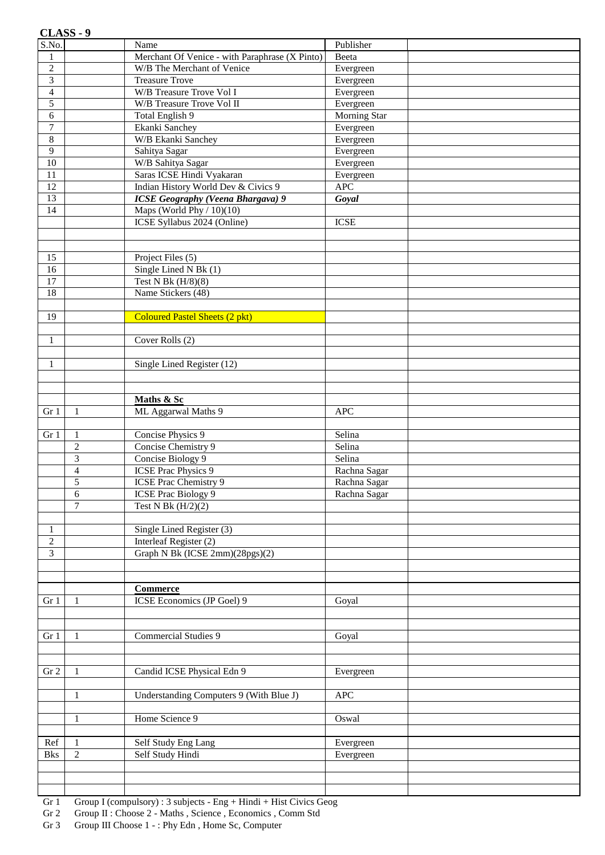|                         | CLASS - 9      |                                                |                        |  |
|-------------------------|----------------|------------------------------------------------|------------------------|--|
| S.No.                   |                | Name                                           | Publisher              |  |
| $\mathbf{1}$            |                | Merchant Of Venice - with Paraphrase (X Pinto) | Beeta                  |  |
| $\overline{2}$          |                | W/B The Merchant of Venice                     | Evergreen              |  |
| $\overline{\mathbf{3}}$ |                | <b>Treasure Trove</b>                          | Evergreen              |  |
| $\overline{4}$          |                | <b>W/B Treasure Trove Vol I</b>                | Evergreen              |  |
| 5                       |                | W/B Treasure Trove Vol II                      | Evergreen              |  |
| 6                       |                | Total English 9                                | Morning Star           |  |
| $\boldsymbol{7}$        |                | Ekanki Sanchey                                 | Evergreen              |  |
| $\,8\,$<br>9            |                | W/B Ekanki Sanchey<br>Sahitya Sagar            | Evergreen<br>Evergreen |  |
| $10\,$                  |                | W/B Sahitya Sagar                              | Evergreen              |  |
| $11\,$                  |                | Saras ICSE Hindi Vyakaran                      | Evergreen              |  |
| 12                      |                | Indian History World Dev & Civics 9            | <b>APC</b>             |  |
| 13                      |                | <b>ICSE Geography (Veena Bhargava) 9</b>       | Goyal                  |  |
| 14                      |                | Maps (World Phy $/ 10$ )(10)                   |                        |  |
|                         |                | ICSE Syllabus 2024 (Online)                    | <b>ICSE</b>            |  |
|                         |                |                                                |                        |  |
|                         |                |                                                |                        |  |
| 15                      |                | Project Files (5)                              |                        |  |
| 16                      |                | Single Lined N Bk (1)                          |                        |  |
| $\overline{17}$         |                | Test N Bk $(H/8)(8)$                           |                        |  |
| 18                      |                | Name Stickers (48)                             |                        |  |
|                         |                |                                                |                        |  |
| 19                      |                | <b>Coloured Pastel Sheets (2 pkt)</b>          |                        |  |
|                         |                |                                                |                        |  |
| $\mathbf{1}$            |                | Cover Rolls $\overline{(2)}$                   |                        |  |
|                         |                |                                                |                        |  |
| 1                       |                | Single Lined Register (12)                     |                        |  |
|                         |                |                                                |                        |  |
|                         |                |                                                |                        |  |
| Gr 1                    | 1              | Maths & Sc<br>ML Aggarwal Maths 9              | <b>APC</b>             |  |
|                         |                |                                                |                        |  |
| Gr 1                    | 1              | Concise Physics 9                              | Selina                 |  |
|                         | $\overline{2}$ | Concise Chemistry 9                            | Selina                 |  |
|                         | 3              | Concise Biology 9                              | Selina                 |  |
|                         | $\overline{4}$ | <b>ICSE Prac Physics 9</b>                     | Rachna Sagar           |  |
|                         | 5              | <b>ICSE Prac Chemistry 9</b>                   | Rachna Sagar           |  |
|                         | 6              | ICSE Prac Biology 9                            | Rachna Sagar           |  |
|                         | $\overline{7}$ | Test N Bk $(H/2)(2)$                           |                        |  |
|                         |                |                                                |                        |  |
| 1                       |                | Single Lined Register (3)                      |                        |  |
| $\overline{c}$          |                | Interleaf Register (2)                         |                        |  |
| 3                       |                | Graph N Bk (ICSE 2mm)(28pgs)(2)                |                        |  |
|                         |                |                                                |                        |  |
|                         |                |                                                |                        |  |
|                         |                | <b>Commerce</b>                                |                        |  |
| Gr <sub>1</sub>         | 1              | ICSE Economics (JP Goel) 9                     | Goyal                  |  |
|                         |                |                                                |                        |  |
|                         |                |                                                |                        |  |
| Gr 1                    | 1              | <b>Commercial Studies 9</b>                    | Goyal                  |  |
|                         |                |                                                |                        |  |
| ${\rm Gr\,}2$           | 1              | Candid ICSE Physical Edn 9                     | Evergreen              |  |
|                         |                |                                                |                        |  |
|                         | 1              | Understanding Computers 9 (With Blue J)        | <b>APC</b>             |  |
|                         |                |                                                |                        |  |
|                         | $\mathbf{1}$   | Home Science 9                                 | Oswal                  |  |
|                         |                |                                                |                        |  |
| Ref                     | 1              | Self Study Eng Lang                            | Evergreen              |  |
| <b>Bks</b>              | $\overline{2}$ | Self Study Hindi                               | Evergreen              |  |
|                         |                |                                                |                        |  |
|                         |                |                                                |                        |  |
|                         |                |                                                |                        |  |
|                         |                |                                                |                        |  |

Gr 1 Group I (compulsory) : 3 subjects - Eng + Hindi + Hist Civics Geog

Gr 2 Group II : Choose 2 - Maths , Science , Economics , Comm Std Gr 3 Group III Choose 1 - : Phy Edn , Home Sc, Computer

Group III Choose 1 - : Phy Edn, Home Sc, Computer